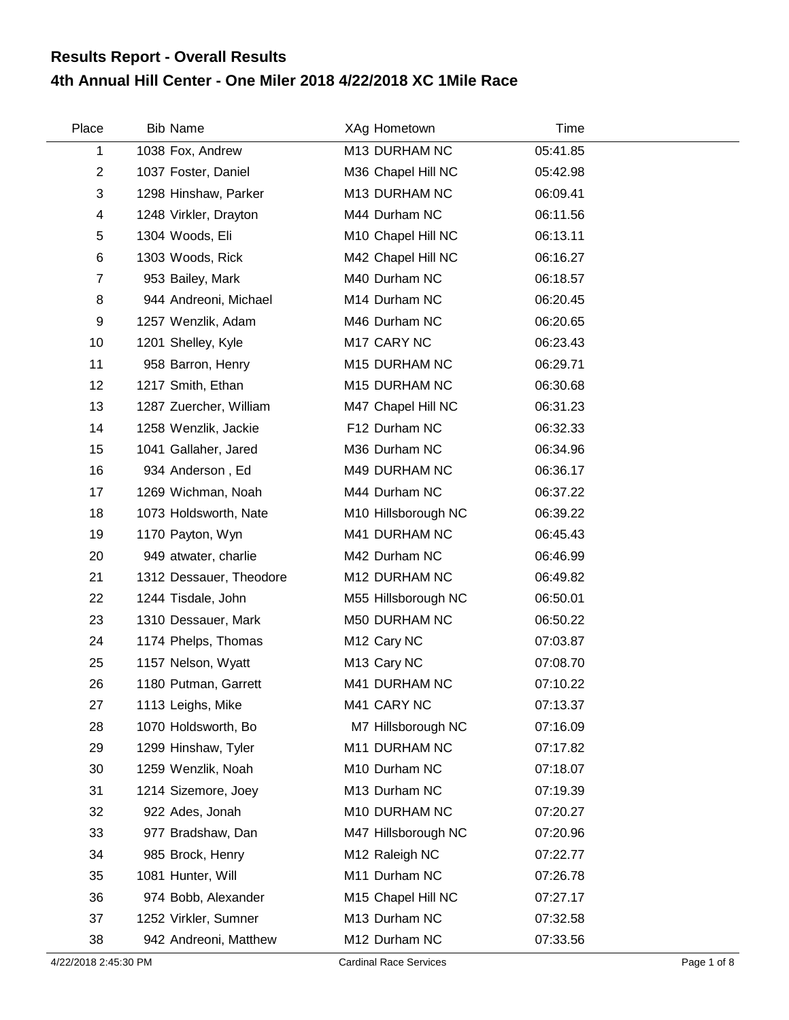## **4th Annual Hill Center - One Miler 2018 4/22/2018 XC 1Mile Race Results Report - Overall Results**

| Place          | <b>Bib Name</b>         | XAg Hometown            | Time     |  |
|----------------|-------------------------|-------------------------|----------|--|
| 1              | 1038 Fox, Andrew        | M13 DURHAM NC           | 05:41.85 |  |
| $\overline{2}$ | 1037 Foster, Daniel     | M36 Chapel Hill NC      | 05:42.98 |  |
| 3              | 1298 Hinshaw, Parker    | M13 DURHAM NC           | 06:09.41 |  |
| 4              | 1248 Virkler, Drayton   | M44 Durham NC           | 06:11.56 |  |
| 5              | 1304 Woods, Eli         | M10 Chapel Hill NC      | 06:13.11 |  |
| 6              | 1303 Woods, Rick        | M42 Chapel Hill NC      | 06:16.27 |  |
| $\overline{7}$ | 953 Bailey, Mark        | M40 Durham NC           | 06:18.57 |  |
| 8              | 944 Andreoni, Michael   | M14 Durham NC           | 06:20.45 |  |
| 9              | 1257 Wenzlik, Adam      | M46 Durham NC           | 06:20.65 |  |
| 10             | 1201 Shelley, Kyle      | M17 CARY NC             | 06:23.43 |  |
| 11             | 958 Barron, Henry       | M15 DURHAM NC           | 06:29.71 |  |
| 12             | 1217 Smith, Ethan       | M15 DURHAM NC           | 06:30.68 |  |
| 13             | 1287 Zuercher, William  | M47 Chapel Hill NC      | 06:31.23 |  |
| 14             | 1258 Wenzlik, Jackie    | F12 Durham NC           | 06:32.33 |  |
| 15             | 1041 Gallaher, Jared    | M36 Durham NC           | 06:34.96 |  |
| 16             | 934 Anderson, Ed        | M49 DURHAM NC           | 06:36.17 |  |
| 17             | 1269 Wichman, Noah      | M44 Durham NC           | 06:37.22 |  |
| 18             | 1073 Holdsworth, Nate   | M10 Hillsborough NC     | 06:39.22 |  |
| 19             | 1170 Payton, Wyn        | M41 DURHAM NC           | 06:45.43 |  |
| 20             | 949 atwater, charlie    | M42 Durham NC           | 06:46.99 |  |
| 21             | 1312 Dessauer, Theodore | M12 DURHAM NC           | 06:49.82 |  |
| 22             | 1244 Tisdale, John      | M55 Hillsborough NC     | 06:50.01 |  |
| 23             | 1310 Dessauer, Mark     | M50 DURHAM NC           | 06:50.22 |  |
| 24             | 1174 Phelps, Thomas     | M <sub>12</sub> Cary NC | 07:03.87 |  |
| 25             | 1157 Nelson, Wyatt      | M <sub>13</sub> Cary NC | 07:08.70 |  |
| 26             | 1180 Putman, Garrett    | M41 DURHAM NC           | 07:10.22 |  |
| 27             | 1113 Leighs, Mike       | M41 CARY NC             | 07:13.37 |  |
| 28             | 1070 Holdsworth, Bo     | M7 Hillsborough NC      | 07:16.09 |  |
| 29             | 1299 Hinshaw, Tyler     | M11 DURHAM NC           | 07:17.82 |  |
| 30             | 1259 Wenzlik, Noah      | M10 Durham NC           | 07:18.07 |  |
| 31             | 1214 Sizemore, Joey     | M13 Durham NC           | 07:19.39 |  |
| 32             | 922 Ades, Jonah         | M10 DURHAM NC           | 07:20.27 |  |
| 33             | 977 Bradshaw, Dan       | M47 Hillsborough NC     | 07:20.96 |  |
| 34             | 985 Brock, Henry        | M12 Raleigh NC          | 07:22.77 |  |
| 35             | 1081 Hunter, Will       | M11 Durham NC           | 07:26.78 |  |
| 36             | 974 Bobb, Alexander     | M15 Chapel Hill NC      | 07:27.17 |  |
| 37             | 1252 Virkler, Sumner    | M13 Durham NC           | 07:32.58 |  |
| 38             | 942 Andreoni, Matthew   | M12 Durham NC           | 07:33.56 |  |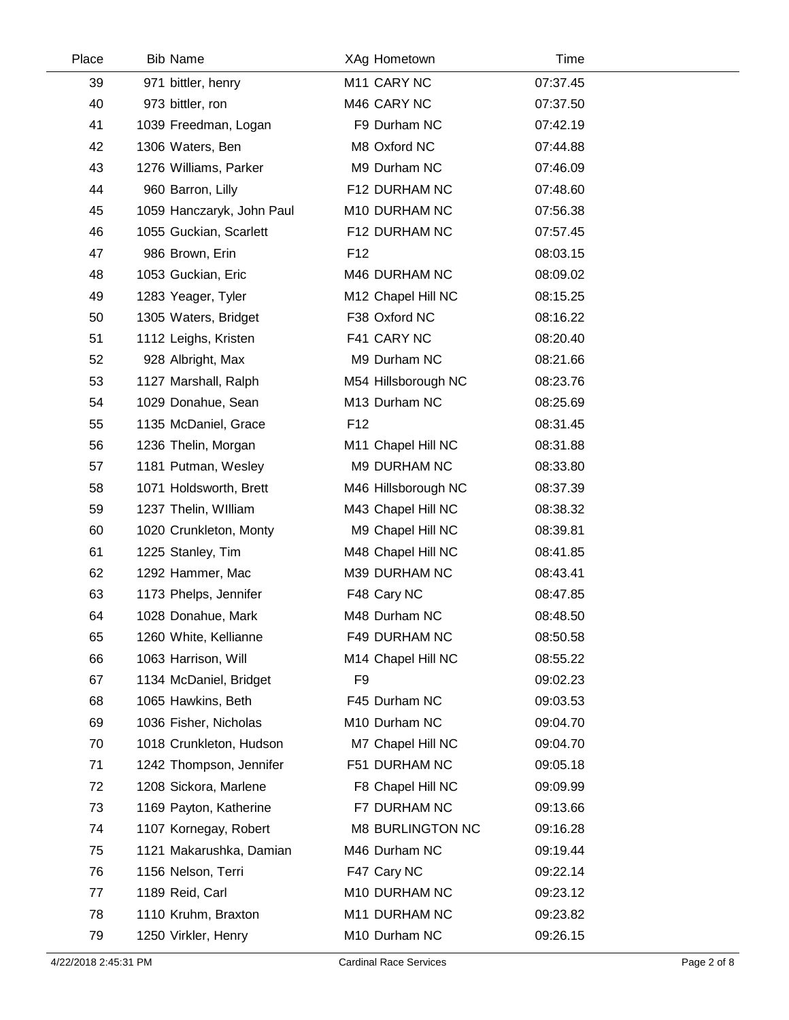| Place | <b>Bib Name</b>           | XAg Hometown        | Time     |  |
|-------|---------------------------|---------------------|----------|--|
| 39    | 971 bittler, henry        | M11 CARY NC         | 07:37.45 |  |
| 40    | 973 bittler, ron          | M46 CARY NC         | 07:37.50 |  |
| 41    | 1039 Freedman, Logan      | F9 Durham NC        | 07:42.19 |  |
| 42    | 1306 Waters, Ben          | M8 Oxford NC        | 07:44.88 |  |
| 43    | 1276 Williams, Parker     | M9 Durham NC        | 07:46.09 |  |
| 44    | 960 Barron, Lilly         | F12 DURHAM NC       | 07:48.60 |  |
| 45    | 1059 Hanczaryk, John Paul | M10 DURHAM NC       | 07:56.38 |  |
| 46    | 1055 Guckian, Scarlett    | F12 DURHAM NC       | 07:57.45 |  |
| 47    | 986 Brown, Erin           | F <sub>12</sub>     | 08:03.15 |  |
| 48    | 1053 Guckian, Eric        | M46 DURHAM NC       | 08:09.02 |  |
| 49    | 1283 Yeager, Tyler        | M12 Chapel Hill NC  | 08:15.25 |  |
| 50    | 1305 Waters, Bridget      | F38 Oxford NC       | 08:16.22 |  |
| 51    | 1112 Leighs, Kristen      | F41 CARY NC         | 08:20.40 |  |
| 52    | 928 Albright, Max         | M9 Durham NC        | 08:21.66 |  |
| 53    | 1127 Marshall, Ralph      | M54 Hillsborough NC | 08:23.76 |  |
| 54    | 1029 Donahue, Sean        | M13 Durham NC       | 08:25.69 |  |
| 55    | 1135 McDaniel, Grace      | F <sub>12</sub>     | 08:31.45 |  |
| 56    | 1236 Thelin, Morgan       | M11 Chapel Hill NC  | 08:31.88 |  |
| 57    | 1181 Putman, Wesley       | M9 DURHAM NC        | 08:33.80 |  |
| 58    | 1071 Holdsworth, Brett    | M46 Hillsborough NC | 08:37.39 |  |
| 59    | 1237 Thelin, William      | M43 Chapel Hill NC  | 08:38.32 |  |
| 60    | 1020 Crunkleton, Monty    | M9 Chapel Hill NC   | 08:39.81 |  |
| 61    | 1225 Stanley, Tim         | M48 Chapel Hill NC  | 08:41.85 |  |
| 62    | 1292 Hammer, Mac          | M39 DURHAM NC       | 08:43.41 |  |
| 63    | 1173 Phelps, Jennifer     | F48 Cary NC         | 08:47.85 |  |
| 64    | 1028 Donahue, Mark        | M48 Durham NC       | 08:48.50 |  |
| 65    | 1260 White, Kellianne     | F49 DURHAM NC       | 08:50.58 |  |
| 66    | 1063 Harrison, Will       | M14 Chapel Hill NC  | 08:55.22 |  |
| 67    | 1134 McDaniel, Bridget    | F <sub>9</sub>      | 09:02.23 |  |
| 68    | 1065 Hawkins, Beth        | F45 Durham NC       | 09:03.53 |  |
| 69    | 1036 Fisher, Nicholas     | M10 Durham NC       | 09:04.70 |  |
| 70    | 1018 Crunkleton, Hudson   | M7 Chapel Hill NC   | 09:04.70 |  |
| 71    | 1242 Thompson, Jennifer   | F51 DURHAM NC       | 09:05.18 |  |
| 72    | 1208 Sickora, Marlene     | F8 Chapel Hill NC   | 09:09.99 |  |
| 73    | 1169 Payton, Katherine    | F7 DURHAM NC        | 09:13.66 |  |
| 74    | 1107 Kornegay, Robert     | M8 BURLINGTON NC    | 09:16.28 |  |
| 75    | 1121 Makarushka, Damian   | M46 Durham NC       | 09:19.44 |  |
| 76    | 1156 Nelson, Terri        | F47 Cary NC         | 09:22.14 |  |
| 77    | 1189 Reid, Carl           | M10 DURHAM NC       | 09:23.12 |  |
| 78    | 1110 Kruhm, Braxton       | M11 DURHAM NC       | 09:23.82 |  |
| 79    | 1250 Virkler, Henry       | M10 Durham NC       | 09:26.15 |  |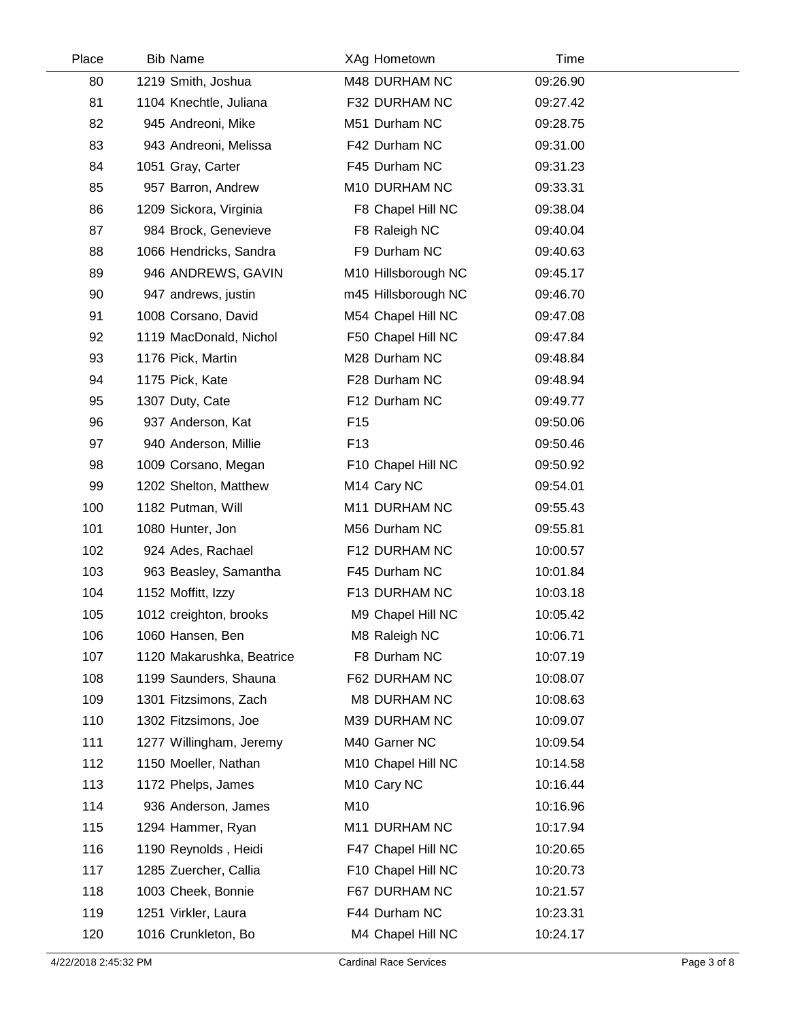| Place | <b>Bib Name</b>           | XAg Hometown            | Time     |  |
|-------|---------------------------|-------------------------|----------|--|
| 80    | 1219 Smith, Joshua        | M48 DURHAM NC           | 09:26.90 |  |
| 81    | 1104 Knechtle, Juliana    | F32 DURHAM NC           | 09:27.42 |  |
| 82    | 945 Andreoni, Mike        | M51 Durham NC           | 09:28.75 |  |
| 83    | 943 Andreoni, Melissa     | F42 Durham NC           | 09:31.00 |  |
| 84    | 1051 Gray, Carter         | F45 Durham NC           | 09:31.23 |  |
| 85    | 957 Barron, Andrew        | M10 DURHAM NC           | 09:33.31 |  |
| 86    | 1209 Sickora, Virginia    | F8 Chapel Hill NC       | 09:38.04 |  |
| 87    | 984 Brock, Genevieve      | F8 Raleigh NC           | 09:40.04 |  |
| 88    | 1066 Hendricks, Sandra    | F9 Durham NC            | 09:40.63 |  |
| 89    | 946 ANDREWS, GAVIN        | M10 Hillsborough NC     | 09:45.17 |  |
| 90    | 947 andrews, justin       | m45 Hillsborough NC     | 09:46.70 |  |
| 91    | 1008 Corsano, David       | M54 Chapel Hill NC      | 09:47.08 |  |
| 92    | 1119 MacDonald, Nichol    | F50 Chapel Hill NC      | 09:47.84 |  |
| 93    | 1176 Pick, Martin         | M28 Durham NC           | 09:48.84 |  |
| 94    | 1175 Pick, Kate           | F28 Durham NC           | 09:48.94 |  |
| 95    | 1307 Duty, Cate           | F12 Durham NC           | 09:49.77 |  |
| 96    | 937 Anderson, Kat         | F <sub>15</sub>         | 09:50.06 |  |
| 97    | 940 Anderson, Millie      | F <sub>13</sub>         | 09:50.46 |  |
| 98    | 1009 Corsano, Megan       | F10 Chapel Hill NC      | 09:50.92 |  |
| 99    | 1202 Shelton, Matthew     | M <sub>14</sub> Cary NC | 09:54.01 |  |
| 100   | 1182 Putman, Will         | M11 DURHAM NC           | 09:55.43 |  |
| 101   | 1080 Hunter, Jon          | M56 Durham NC           | 09:55.81 |  |
| 102   | 924 Ades, Rachael         | F12 DURHAM NC           | 10:00.57 |  |
| 103   | 963 Beasley, Samantha     | F45 Durham NC           | 10:01.84 |  |
| 104   | 1152 Moffitt, Izzy        | F13 DURHAM NC           | 10:03.18 |  |
| 105   | 1012 creighton, brooks    | M9 Chapel Hill NC       | 10:05.42 |  |
| 106   | 1060 Hansen, Ben          | M8 Raleigh NC           | 10:06.71 |  |
| 107   | 1120 Makarushka, Beatrice | F8 Durham NC            | 10:07.19 |  |
| 108   | 1199 Saunders, Shauna     | F62 DURHAM NC           | 10:08.07 |  |
| 109   | 1301 Fitzsimons, Zach     | <b>M8 DURHAM NC</b>     | 10:08.63 |  |
| 110   | 1302 Fitzsimons, Joe      | M39 DURHAM NC           | 10:09.07 |  |
| 111   | 1277 Willingham, Jeremy   | M40 Garner NC           | 10:09.54 |  |
| 112   | 1150 Moeller, Nathan      | M10 Chapel Hill NC      | 10:14.58 |  |
| 113   | 1172 Phelps, James        | M <sub>10</sub> Cary NC | 10:16.44 |  |
| 114   | 936 Anderson, James       | M10                     | 10:16.96 |  |
| 115   | 1294 Hammer, Ryan         | M11 DURHAM NC           | 10:17.94 |  |
| 116   | 1190 Reynolds, Heidi      | F47 Chapel Hill NC      | 10:20.65 |  |
| 117   | 1285 Zuercher, Callia     | F10 Chapel Hill NC      | 10:20.73 |  |
| 118   | 1003 Cheek, Bonnie        | F67 DURHAM NC           | 10:21.57 |  |
| 119   | 1251 Virkler, Laura       | F44 Durham NC           | 10:23.31 |  |
| 120   | 1016 Crunkleton, Bo       | M4 Chapel Hill NC       | 10:24.17 |  |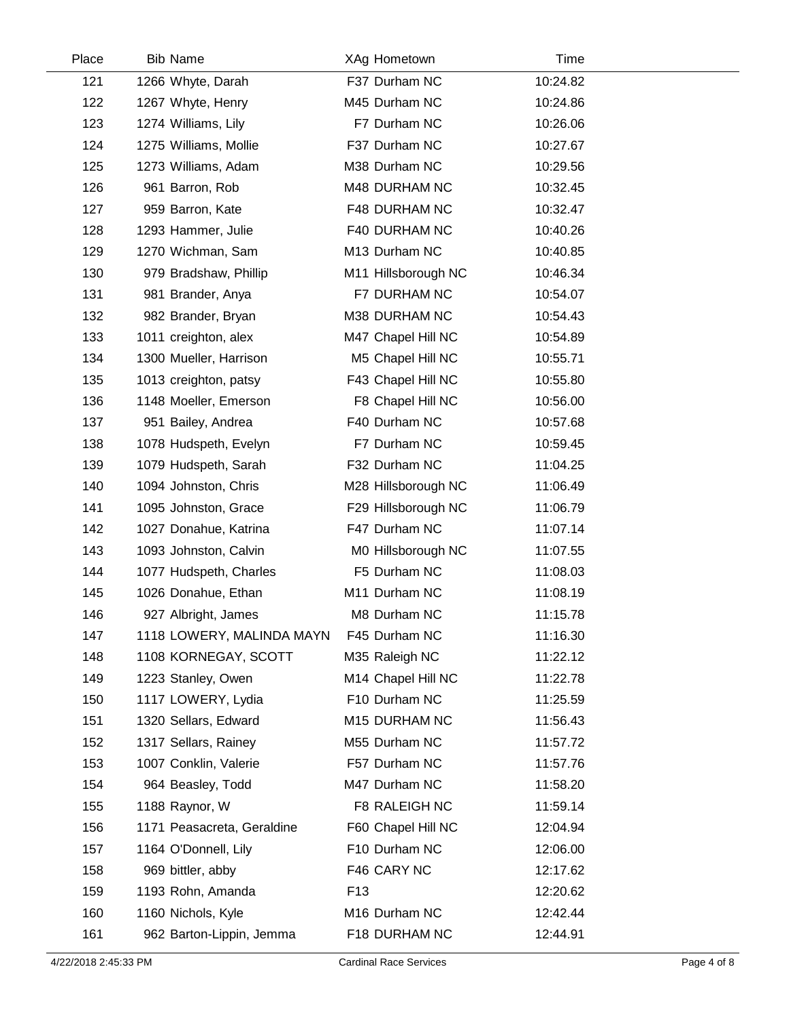| Place | <b>Bib Name</b>            | XAg Hometown        | Time     |  |
|-------|----------------------------|---------------------|----------|--|
| 121   | 1266 Whyte, Darah          | F37 Durham NC       | 10:24.82 |  |
| 122   | 1267 Whyte, Henry          | M45 Durham NC       | 10:24.86 |  |
| 123   | 1274 Williams, Lily        | F7 Durham NC        | 10:26.06 |  |
| 124   | 1275 Williams, Mollie      | F37 Durham NC       | 10:27.67 |  |
| 125   | 1273 Williams, Adam        | M38 Durham NC       | 10:29.56 |  |
| 126   | 961 Barron, Rob            | M48 DURHAM NC       | 10:32.45 |  |
| 127   | 959 Barron, Kate           | F48 DURHAM NC       | 10:32.47 |  |
| 128   | 1293 Hammer, Julie         | F40 DURHAM NC       | 10:40.26 |  |
| 129   | 1270 Wichman, Sam          | M13 Durham NC       | 10:40.85 |  |
| 130   | 979 Bradshaw, Phillip      | M11 Hillsborough NC | 10:46.34 |  |
| 131   | 981 Brander, Anya          | F7 DURHAM NC        | 10:54.07 |  |
| 132   | 982 Brander, Bryan         | M38 DURHAM NC       | 10:54.43 |  |
| 133   | 1011 creighton, alex       | M47 Chapel Hill NC  | 10:54.89 |  |
| 134   | 1300 Mueller, Harrison     | M5 Chapel Hill NC   | 10:55.71 |  |
| 135   | 1013 creighton, patsy      | F43 Chapel Hill NC  | 10:55.80 |  |
| 136   | 1148 Moeller, Emerson      | F8 Chapel Hill NC   | 10:56.00 |  |
| 137   | 951 Bailey, Andrea         | F40 Durham NC       | 10:57.68 |  |
| 138   | 1078 Hudspeth, Evelyn      | F7 Durham NC        | 10:59.45 |  |
| 139   | 1079 Hudspeth, Sarah       | F32 Durham NC       | 11:04.25 |  |
| 140   | 1094 Johnston, Chris       | M28 Hillsborough NC | 11:06.49 |  |
| 141   | 1095 Johnston, Grace       | F29 Hillsborough NC | 11:06.79 |  |
| 142   | 1027 Donahue, Katrina      | F47 Durham NC       | 11:07.14 |  |
| 143   | 1093 Johnston, Calvin      | M0 Hillsborough NC  | 11:07.55 |  |
| 144   | 1077 Hudspeth, Charles     | F5 Durham NC        | 11:08.03 |  |
| 145   | 1026 Donahue, Ethan        | M11 Durham NC       | 11:08.19 |  |
| 146   | 927 Albright, James        | M8 Durham NC        | 11:15.78 |  |
| 147   | 1118 LOWERY, MALINDA MAYN  | F45 Durham NC       | 11:16.30 |  |
| 148   | 1108 KORNEGAY, SCOTT       | M35 Raleigh NC      | 11:22.12 |  |
| 149   | 1223 Stanley, Owen         | M14 Chapel Hill NC  | 11:22.78 |  |
| 150   | 1117 LOWERY, Lydia         | F10 Durham NC       | 11:25.59 |  |
| 151   | 1320 Sellars, Edward       | M15 DURHAM NC       | 11:56.43 |  |
| 152   | 1317 Sellars, Rainey       | M55 Durham NC       | 11:57.72 |  |
| 153   | 1007 Conklin, Valerie      | F57 Durham NC       | 11:57.76 |  |
| 154   | 964 Beasley, Todd          | M47 Durham NC       | 11:58.20 |  |
| 155   | 1188 Raynor, W             | F8 RALEIGH NC       | 11:59.14 |  |
| 156   | 1171 Peasacreta, Geraldine | F60 Chapel Hill NC  | 12:04.94 |  |
| 157   | 1164 O'Donnell, Lily       | F10 Durham NC       | 12:06.00 |  |
| 158   | 969 bittler, abby          | F46 CARY NC         | 12:17.62 |  |
| 159   | 1193 Rohn, Amanda          | F <sub>13</sub>     | 12:20.62 |  |
| 160   | 1160 Nichols, Kyle         | M16 Durham NC       | 12:42.44 |  |
| 161   | 962 Barton-Lippin, Jemma   | F18 DURHAM NC       | 12:44.91 |  |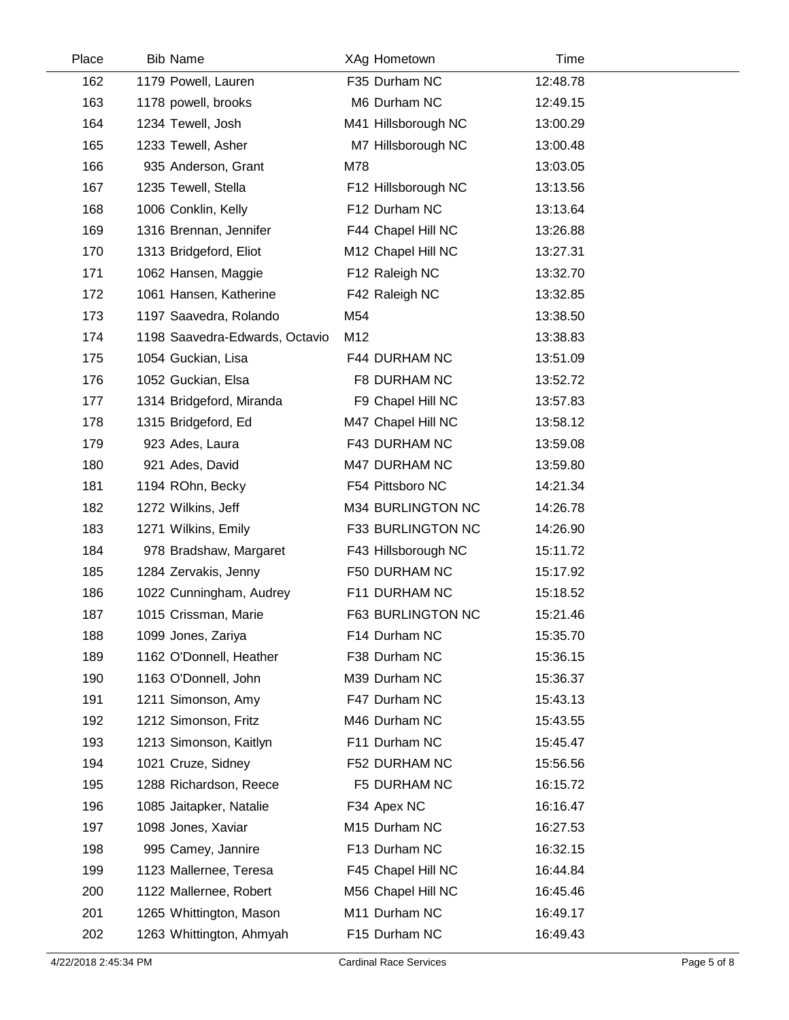| Place | <b>Bib Name</b>                | XAg Hometown        | Time     |  |
|-------|--------------------------------|---------------------|----------|--|
| 162   | 1179 Powell, Lauren            | F35 Durham NC       | 12:48.78 |  |
| 163   | 1178 powell, brooks            | M6 Durham NC        | 12:49.15 |  |
| 164   | 1234 Tewell, Josh              | M41 Hillsborough NC | 13:00.29 |  |
| 165   | 1233 Tewell, Asher             | M7 Hillsborough NC  | 13:00.48 |  |
| 166   | 935 Anderson, Grant            | M78                 | 13:03.05 |  |
| 167   | 1235 Tewell, Stella            | F12 Hillsborough NC | 13:13.56 |  |
| 168   | 1006 Conklin, Kelly            | F12 Durham NC       | 13:13.64 |  |
| 169   | 1316 Brennan, Jennifer         | F44 Chapel Hill NC  | 13:26.88 |  |
| 170   | 1313 Bridgeford, Eliot         | M12 Chapel Hill NC  | 13:27.31 |  |
| 171   | 1062 Hansen, Maggie            | F12 Raleigh NC      | 13:32.70 |  |
| 172   | 1061 Hansen, Katherine         | F42 Raleigh NC      | 13:32.85 |  |
| 173   | 1197 Saavedra, Rolando         | M54                 | 13:38.50 |  |
| 174   | 1198 Saavedra-Edwards, Octavio | M12                 | 13:38.83 |  |
| 175   | 1054 Guckian, Lisa             | F44 DURHAM NC       | 13:51.09 |  |
| 176   | 1052 Guckian, Elsa             | F8 DURHAM NC        | 13:52.72 |  |
| 177   | 1314 Bridgeford, Miranda       | F9 Chapel Hill NC   | 13:57.83 |  |
| 178   | 1315 Bridgeford, Ed            | M47 Chapel Hill NC  | 13:58.12 |  |
| 179   | 923 Ades, Laura                | F43 DURHAM NC       | 13:59.08 |  |
| 180   | 921 Ades, David                | M47 DURHAM NC       | 13:59.80 |  |
| 181   | 1194 ROhn, Becky               | F54 Pittsboro NC    | 14:21.34 |  |
| 182   | 1272 Wilkins, Jeff             | M34 BURLINGTON NC   | 14:26.78 |  |
| 183   | 1271 Wilkins, Emily            | F33 BURLINGTON NC   | 14:26.90 |  |
| 184   | 978 Bradshaw, Margaret         | F43 Hillsborough NC | 15:11.72 |  |
| 185   | 1284 Zervakis, Jenny           | F50 DURHAM NC       | 15:17.92 |  |
| 186   | 1022 Cunningham, Audrey        | F11 DURHAM NC       | 15:18.52 |  |
| 187   | 1015 Crissman, Marie           | F63 BURLINGTON NC   | 15:21.46 |  |
| 188   | 1099 Jones, Zariya             | F14 Durham NC       | 15:35.70 |  |
| 189   | 1162 O'Donnell, Heather        | F38 Durham NC       | 15:36.15 |  |
| 190   | 1163 O'Donnell, John           | M39 Durham NC       | 15:36.37 |  |
| 191   | 1211 Simonson, Amy             | F47 Durham NC       | 15:43.13 |  |
| 192   | 1212 Simonson, Fritz           | M46 Durham NC       | 15:43.55 |  |
| 193   | 1213 Simonson, Kaitlyn         | F11 Durham NC       | 15:45.47 |  |
| 194   | 1021 Cruze, Sidney             | F52 DURHAM NC       | 15:56.56 |  |
| 195   | 1288 Richardson, Reece         | F5 DURHAM NC        | 16:15.72 |  |
| 196   | 1085 Jaitapker, Natalie        | F34 Apex NC         | 16:16.47 |  |
| 197   | 1098 Jones, Xaviar             | M15 Durham NC       | 16:27.53 |  |
| 198   | 995 Camey, Jannire             | F13 Durham NC       | 16:32.15 |  |
| 199   | 1123 Mallernee, Teresa         | F45 Chapel Hill NC  | 16:44.84 |  |
| 200   | 1122 Mallernee, Robert         | M56 Chapel Hill NC  | 16:45.46 |  |
| 201   | 1265 Whittington, Mason        | M11 Durham NC       | 16:49.17 |  |
| 202   | 1263 Whittington, Ahmyah       | F15 Durham NC       | 16:49.43 |  |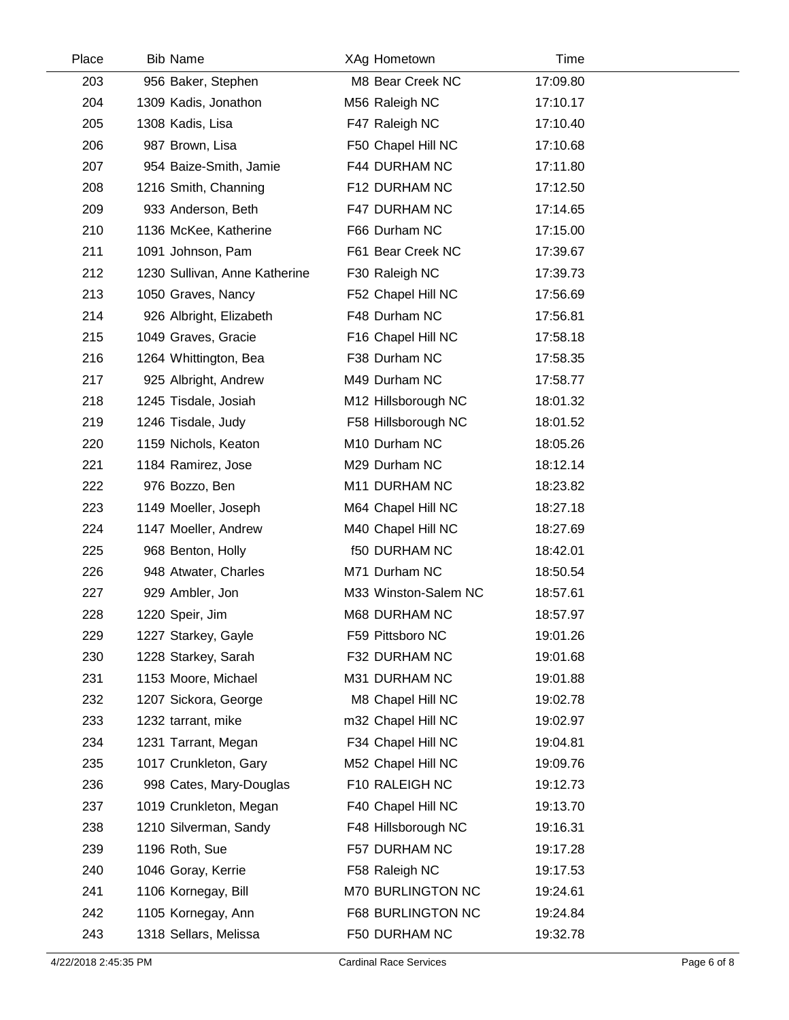| Place | <b>Bib Name</b>               | XAg Hometown         | Time     |  |
|-------|-------------------------------|----------------------|----------|--|
| 203   | 956 Baker, Stephen            | M8 Bear Creek NC     | 17:09.80 |  |
| 204   | 1309 Kadis, Jonathon          | M56 Raleigh NC       | 17:10.17 |  |
| 205   | 1308 Kadis, Lisa              | F47 Raleigh NC       | 17:10.40 |  |
| 206   | 987 Brown, Lisa               | F50 Chapel Hill NC   | 17:10.68 |  |
| 207   | 954 Baize-Smith, Jamie        | F44 DURHAM NC        | 17:11.80 |  |
| 208   | 1216 Smith, Channing          | F12 DURHAM NC        | 17:12.50 |  |
| 209   | 933 Anderson, Beth            | F47 DURHAM NC        | 17:14.65 |  |
| 210   | 1136 McKee, Katherine         | F66 Durham NC        | 17:15.00 |  |
| 211   | 1091 Johnson, Pam             | F61 Bear Creek NC    | 17:39.67 |  |
| 212   | 1230 Sullivan, Anne Katherine | F30 Raleigh NC       | 17:39.73 |  |
| 213   | 1050 Graves, Nancy            | F52 Chapel Hill NC   | 17:56.69 |  |
| 214   | 926 Albright, Elizabeth       | F48 Durham NC        | 17:56.81 |  |
| 215   | 1049 Graves, Gracie           | F16 Chapel Hill NC   | 17:58.18 |  |
| 216   | 1264 Whittington, Bea         | F38 Durham NC        | 17:58.35 |  |
| 217   | 925 Albright, Andrew          | M49 Durham NC        | 17:58.77 |  |
| 218   | 1245 Tisdale, Josiah          | M12 Hillsborough NC  | 18:01.32 |  |
| 219   | 1246 Tisdale, Judy            | F58 Hillsborough NC  | 18:01.52 |  |
| 220   | 1159 Nichols, Keaton          | M10 Durham NC        | 18:05.26 |  |
| 221   | 1184 Ramirez, Jose            | M29 Durham NC        | 18:12.14 |  |
| 222   | 976 Bozzo, Ben                | M11 DURHAM NC        | 18:23.82 |  |
| 223   | 1149 Moeller, Joseph          | M64 Chapel Hill NC   | 18:27.18 |  |
| 224   | 1147 Moeller, Andrew          | M40 Chapel Hill NC   | 18:27.69 |  |
| 225   | 968 Benton, Holly             | <b>f50 DURHAM NC</b> | 18:42.01 |  |
| 226   | 948 Atwater, Charles          | M71 Durham NC        | 18:50.54 |  |
| 227   | 929 Ambler, Jon               | M33 Winston-Salem NC | 18:57.61 |  |
| 228   | 1220 Speir, Jim               | M68 DURHAM NC        | 18:57.97 |  |
| 229   | 1227 Starkey, Gayle           | F59 Pittsboro NC     | 19:01.26 |  |
| 230   | 1228 Starkey, Sarah           | F32 DURHAM NC        | 19:01.68 |  |
| 231   | 1153 Moore, Michael           | M31 DURHAM NC        | 19:01.88 |  |
| 232   | 1207 Sickora, George          | M8 Chapel Hill NC    | 19:02.78 |  |
| 233   | 1232 tarrant, mike            | m32 Chapel Hill NC   | 19:02.97 |  |
| 234   | 1231 Tarrant, Megan           | F34 Chapel Hill NC   | 19:04.81 |  |
| 235   | 1017 Crunkleton, Gary         | M52 Chapel Hill NC   | 19:09.76 |  |
| 236   | 998 Cates, Mary-Douglas       | F10 RALEIGH NC       | 19:12.73 |  |
| 237   | 1019 Crunkleton, Megan        | F40 Chapel Hill NC   | 19:13.70 |  |
| 238   | 1210 Silverman, Sandy         | F48 Hillsborough NC  | 19:16.31 |  |
| 239   | 1196 Roth, Sue                | F57 DURHAM NC        | 19:17.28 |  |
| 240   | 1046 Goray, Kerrie            | F58 Raleigh NC       | 19:17.53 |  |
| 241   | 1106 Kornegay, Bill           | M70 BURLINGTON NC    | 19:24.61 |  |
| 242   | 1105 Kornegay, Ann            | F68 BURLINGTON NC    | 19:24.84 |  |
| 243   | 1318 Sellars, Melissa         | F50 DURHAM NC        | 19:32.78 |  |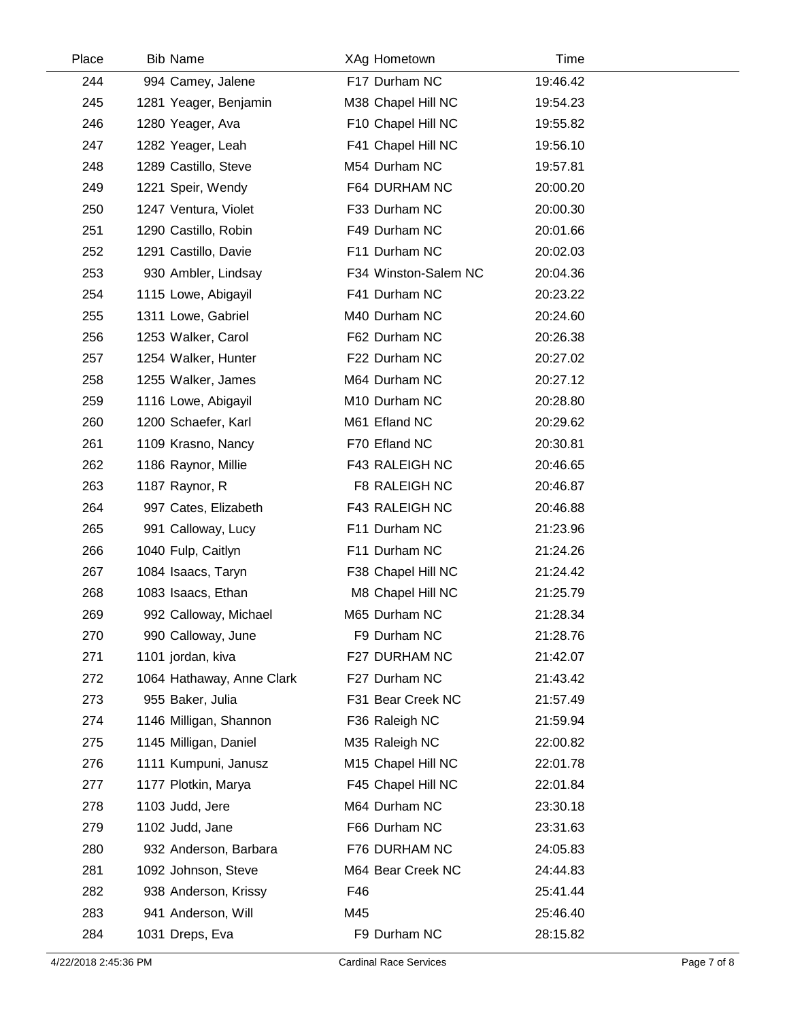| Place | <b>Bib Name</b>           | XAg Hometown         | Time     |  |
|-------|---------------------------|----------------------|----------|--|
| 244   | 994 Camey, Jalene         | F17 Durham NC        | 19:46.42 |  |
| 245   | 1281 Yeager, Benjamin     | M38 Chapel Hill NC   | 19:54.23 |  |
| 246   | 1280 Yeager, Ava          | F10 Chapel Hill NC   | 19:55.82 |  |
| 247   | 1282 Yeager, Leah         | F41 Chapel Hill NC   | 19:56.10 |  |
| 248   | 1289 Castillo, Steve      | M54 Durham NC        | 19:57.81 |  |
| 249   | 1221 Speir, Wendy         | F64 DURHAM NC        | 20:00.20 |  |
| 250   | 1247 Ventura, Violet      | F33 Durham NC        | 20:00.30 |  |
| 251   | 1290 Castillo, Robin      | F49 Durham NC        | 20:01.66 |  |
| 252   | 1291 Castillo, Davie      | F11 Durham NC        | 20:02.03 |  |
| 253   | 930 Ambler, Lindsay       | F34 Winston-Salem NC | 20:04.36 |  |
| 254   | 1115 Lowe, Abigayil       | F41 Durham NC        | 20:23.22 |  |
| 255   | 1311 Lowe, Gabriel        | M40 Durham NC        | 20:24.60 |  |
| 256   | 1253 Walker, Carol        | F62 Durham NC        | 20:26.38 |  |
| 257   | 1254 Walker, Hunter       | F22 Durham NC        | 20:27.02 |  |
| 258   | 1255 Walker, James        | M64 Durham NC        | 20:27.12 |  |
| 259   | 1116 Lowe, Abigayil       | M10 Durham NC        | 20:28.80 |  |
| 260   | 1200 Schaefer, Karl       | M61 Efland NC        | 20:29.62 |  |
| 261   | 1109 Krasno, Nancy        | F70 Efland NC        | 20:30.81 |  |
| 262   | 1186 Raynor, Millie       | F43 RALEIGH NC       | 20:46.65 |  |
| 263   | 1187 Raynor, R            | F8 RALEIGH NC        | 20:46.87 |  |
| 264   | 997 Cates, Elizabeth      | F43 RALEIGH NC       | 20:46.88 |  |
| 265   | 991 Calloway, Lucy        | F11 Durham NC        | 21:23.96 |  |
| 266   | 1040 Fulp, Caitlyn        | F11 Durham NC        | 21:24.26 |  |
| 267   | 1084 Isaacs, Taryn        | F38 Chapel Hill NC   | 21:24.42 |  |
| 268   | 1083 Isaacs, Ethan        | M8 Chapel Hill NC    | 21:25.79 |  |
| 269   | 992 Calloway, Michael     | M65 Durham NC        | 21:28.34 |  |
| 270   | 990 Calloway, June        | F9 Durham NC         | 21:28.76 |  |
| 271   | 1101 jordan, kiva         | F27 DURHAM NC        | 21:42.07 |  |
| 272   | 1064 Hathaway, Anne Clark | F27 Durham NC        | 21:43.42 |  |
| 273   | 955 Baker, Julia          | F31 Bear Creek NC    | 21:57.49 |  |
| 274   | 1146 Milligan, Shannon    | F36 Raleigh NC       | 21:59.94 |  |
| 275   | 1145 Milligan, Daniel     | M35 Raleigh NC       | 22:00.82 |  |
| 276   | 1111 Kumpuni, Janusz      | M15 Chapel Hill NC   | 22:01.78 |  |
| 277   | 1177 Plotkin, Marya       | F45 Chapel Hill NC   | 22:01.84 |  |
| 278   | 1103 Judd, Jere           | M64 Durham NC        | 23:30.18 |  |
| 279   | 1102 Judd, Jane           | F66 Durham NC        | 23:31.63 |  |
| 280   | 932 Anderson, Barbara     | F76 DURHAM NC        | 24:05.83 |  |
| 281   | 1092 Johnson, Steve       | M64 Bear Creek NC    | 24:44.83 |  |
| 282   | 938 Anderson, Krissy      | F46                  | 25:41.44 |  |
| 283   | 941 Anderson, Will        | M45                  | 25:46.40 |  |
| 284   | 1031 Dreps, Eva           | F9 Durham NC         | 28:15.82 |  |